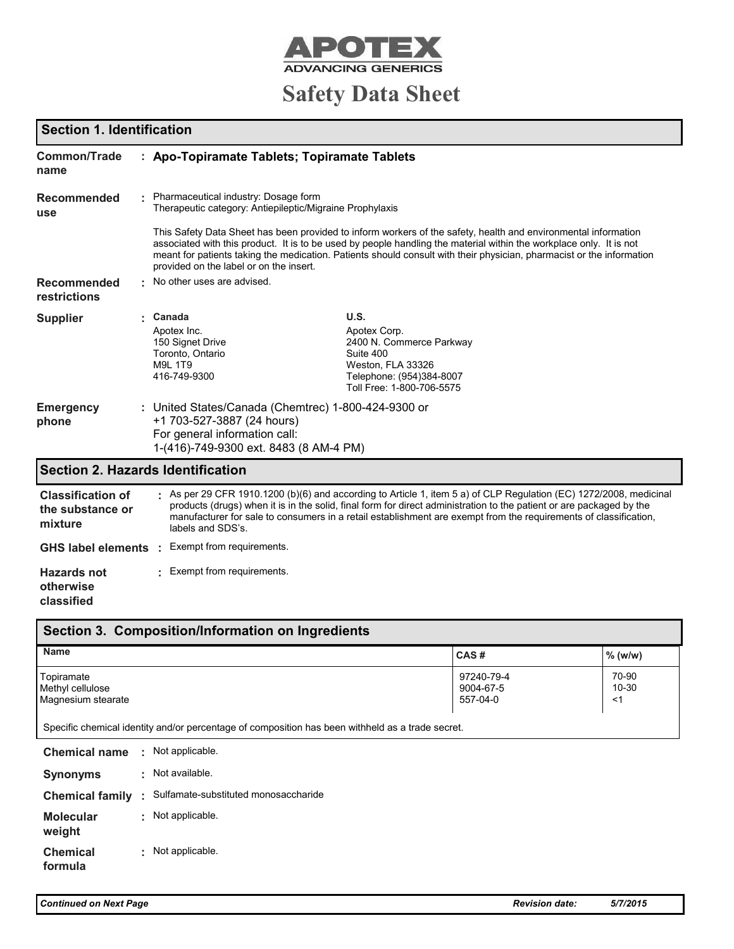

# **Safety Data Sheet**

## **Section 1. Identification**

| <b>Common/Trade</b><br>name                             | : Apo-Topiramate Tablets; Topiramate Tablets                                                                                                                 |                                                                                                                                                                                                                                                                                                                                                                |
|---------------------------------------------------------|--------------------------------------------------------------------------------------------------------------------------------------------------------------|----------------------------------------------------------------------------------------------------------------------------------------------------------------------------------------------------------------------------------------------------------------------------------------------------------------------------------------------------------------|
| <b>Recommended</b><br>use                               | Pharmaceutical industry: Dosage form<br>Therapeutic category: Antiepileptic/Migraine Prophylaxis                                                             |                                                                                                                                                                                                                                                                                                                                                                |
|                                                         | provided on the label or on the insert.                                                                                                                      | This Safety Data Sheet has been provided to inform workers of the safety, health and environmental information<br>associated with this product. It is to be used by people handling the material within the workplace only. It is not<br>meant for patients taking the medication. Patients should consult with their physician, pharmacist or the information |
| <b>Recommended</b><br>restrictions                      | No other uses are advised.                                                                                                                                   |                                                                                                                                                                                                                                                                                                                                                                |
| <b>Supplier</b>                                         | Canada<br>Apotex Inc.<br>150 Signet Drive<br>Toronto, Ontario<br><b>M9L 1T9</b><br>416-749-9300                                                              | U.S.<br>Apotex Corp.<br>2400 N. Commerce Parkway<br>Suite 400<br>Weston, FLA 33326<br>Telephone: (954)384-8007<br>Toll Free: 1-800-706-5575                                                                                                                                                                                                                    |
| <b>Emergency</b><br>phone                               | : United States/Canada (Chemtrec) 1-800-424-9300 or<br>+1 703-527-3887 (24 hours)<br>For general information call:<br>1-(416)-749-9300 ext. 8483 (8 AM-4 PM) |                                                                                                                                                                                                                                                                                                                                                                |
| <b>Section 2. Hazards Identification</b>                |                                                                                                                                                              |                                                                                                                                                                                                                                                                                                                                                                |
| <b>Classification of</b><br>the substance or<br>mixture | labels and SDS's.                                                                                                                                            | As per 29 CFR 1910.1200 (b)(6) and according to Article 1, item 5 a) of CLP Regulation (EC) 1272/2008, medicinal<br>products (drugs) when it is in the solid, final form for direct administration to the patient or are packaged by the<br>manufacturer for sale to consumers in a retail establishment are exempt from the requirements of classification,   |
| <b>GHS label elements</b>                               | Exempt from requirements.                                                                                                                                    |                                                                                                                                                                                                                                                                                                                                                                |
| <b>Hazards not</b><br>otherwise<br>classified           | Exempt from requirements.                                                                                                                                    |                                                                                                                                                                                                                                                                                                                                                                |
|                                                         | Section 3. Composition/Information on Ingredients                                                                                                            |                                                                                                                                                                                                                                                                                                                                                                |

| Section 3. Composition/information on indicatents    |                                     |                      |  |  |  |
|------------------------------------------------------|-------------------------------------|----------------------|--|--|--|
| <b>Name</b>                                          | CAS#                                | % (w/w)              |  |  |  |
| Topiramate<br>Methyl cellulose<br>Magnesium stearate | 97240-79-4<br>9004-67-5<br>557-04-0 | 70-90<br>10-30<br><' |  |  |  |

Specific chemical identity and/or percentage of composition has been withheld as a trade secret.

| <b>Chemical name</b>       | $\epsilon$ | Not applicable.                        |
|----------------------------|------------|----------------------------------------|
| <b>Synonyms</b>            | ÷          | Not available.                         |
| <b>Chemical family</b>     |            | : Sulfamate-substituted monosaccharide |
| <b>Molecular</b><br>weight | t.         | Not applicable.                        |
| <b>Chemical</b><br>formula | ÷.         | Not applicable.                        |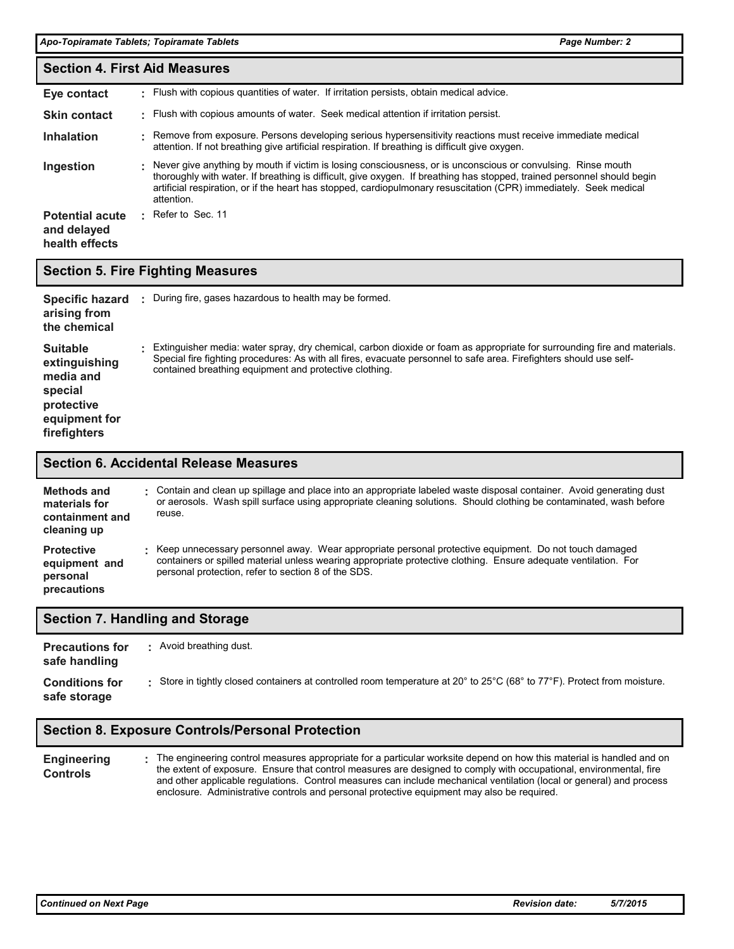|                                                         | <b>Section 4. First Aid Measures</b> |                                                                                                                                                                                                                                                                                                                                                                             |  |  |  |
|---------------------------------------------------------|--------------------------------------|-----------------------------------------------------------------------------------------------------------------------------------------------------------------------------------------------------------------------------------------------------------------------------------------------------------------------------------------------------------------------------|--|--|--|
| Eye contact                                             |                                      | . Flush with copious quantities of water. If irritation persists, obtain medical advice.                                                                                                                                                                                                                                                                                    |  |  |  |
| <b>Skin contact</b>                                     |                                      | . Flush with copious amounts of water. Seek medical attention if irritation persist.                                                                                                                                                                                                                                                                                        |  |  |  |
| <b>Inhalation</b>                                       |                                      | Remove from exposure. Persons developing serious hypersensitivity reactions must receive immediate medical<br>attention. If not breathing give artificial respiration. If breathing is difficult give oxygen.                                                                                                                                                               |  |  |  |
| Ingestion                                               |                                      | Never give anything by mouth if victim is losing consciousness, or is unconscious or convulsing. Rinse mouth<br>thoroughly with water. If breathing is difficult, give oxygen. If breathing has stopped, trained personnel should begin<br>artificial respiration, or if the heart has stopped, cardiopulmonary resuscitation (CPR) immediately. Seek medical<br>attention. |  |  |  |
| <b>Potential acute</b><br>and delayed<br>health effects | ٠.                                   | Refer to Sec. 11                                                                                                                                                                                                                                                                                                                                                            |  |  |  |

### **Section 5. Fire Fighting Measures**

| Specific hazard<br>arising from<br>the chemical                                                         | During fire, gases hazardous to health may be formed.                                                                                                                                                                                                                                                     |
|---------------------------------------------------------------------------------------------------------|-----------------------------------------------------------------------------------------------------------------------------------------------------------------------------------------------------------------------------------------------------------------------------------------------------------|
| <b>Suitable</b><br>extinguishing<br>media and<br>special<br>protective<br>equipment for<br>firefighters | Extinguisher media: water spray, dry chemical, carbon dioxide or foam as appropriate for surrounding fire and materials.<br>Special fire fighting procedures: As with all fires, evacuate personnel to safe area. Firefighters should use self-<br>contained breathing equipment and protective clothing. |

#### **Section 6. Accidental Release Measures**

| Methods and<br>materials for<br>containment and<br>cleaning up | Contain and clean up spillage and place into an appropriate labeled waste disposal container. Avoid generating dust<br>or aerosols. Wash spill surface using appropriate cleaning solutions. Should clothing be contaminated, wash before<br>reuse.                             |
|----------------------------------------------------------------|---------------------------------------------------------------------------------------------------------------------------------------------------------------------------------------------------------------------------------------------------------------------------------|
| <b>Protective</b><br>equipment and<br>personal<br>precautions  | Keep unnecessary personnel away. Wear appropriate personal protective equipment. Do not touch damaged<br>containers or spilled material unless wearing appropriate protective clothing. Ensure adequate ventilation. For<br>personal protection, refer to section 8 of the SDS. |

### **Section 7. Handling and Storage**

| <b>Precautions for</b><br>safe handling | Avoid breathing dust.                                                                                                  |
|-----------------------------------------|------------------------------------------------------------------------------------------------------------------------|
| <b>Conditions for</b><br>safe storage   | Store in tightly closed containers at controlled room temperature at 20° to 25°C (68° to 77°F). Protect from moisture. |

### **Section 8. Exposure Controls/Personal Protection**

**Engineering Controls** The engineering control measures appropriate for a particular worksite depend on how this material is handled and on the extent of exposure. Ensure that control measures are designed to comply with occupational, environmental, fire and other applicable regulations. Control measures can include mechanical ventilation (local or general) and process enclosure. Administrative controls and personal protective equipment may also be required. **:**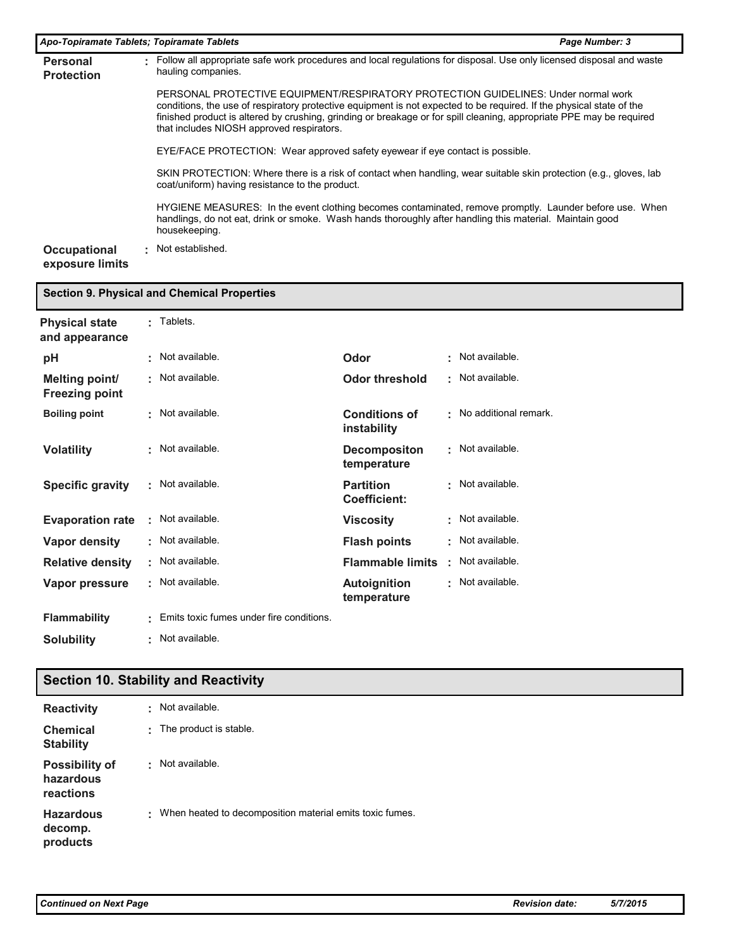| Apo-Topiramate Tablets; Topiramate Tablets |   |                                                                                                                                                                                                                                                                                                                                                                                 | Page Number: 3 |
|--------------------------------------------|---|---------------------------------------------------------------------------------------------------------------------------------------------------------------------------------------------------------------------------------------------------------------------------------------------------------------------------------------------------------------------------------|----------------|
| <b>Personal</b><br><b>Protection</b>       | ٠ | Follow all appropriate safe work procedures and local regulations for disposal. Use only licensed disposal and waste<br>hauling companies.                                                                                                                                                                                                                                      |                |
|                                            |   | PERSONAL PROTECTIVE EQUIPMENT/RESPIRATORY PROTECTION GUIDELINES: Under normal work<br>conditions, the use of respiratory protective equipment is not expected to be required. If the physical state of the<br>finished product is altered by crushing, grinding or breakage or for spill cleaning, appropriate PPE may be required<br>that includes NIOSH approved respirators. |                |
|                                            |   | EYE/FACE PROTECTION: Wear approved safety eyewear if eye contact is possible.                                                                                                                                                                                                                                                                                                   |                |
|                                            |   | SKIN PROTECTION: Where there is a risk of contact when handling, wear suitable skin protection (e.g., gloves, lab<br>coat/uniform) having resistance to the product.                                                                                                                                                                                                            |                |
|                                            |   | HYGIENE MEASURES: In the event clothing becomes contaminated, remove promptly. Launder before use. When<br>handlings, do not eat, drink or smoke. Wash hands thoroughly after handling this material. Maintain good<br>housekeeping.                                                                                                                                            |                |
| Occupational<br>exposure limits            | ÷ | Not established.                                                                                                                                                                                                                                                                                                                                                                |                |

| <b>Section 9. Physical and Chemical Properties</b> |   |                                          |                                     |   |                       |
|----------------------------------------------------|---|------------------------------------------|-------------------------------------|---|-----------------------|
| <b>Physical state</b><br>and appearance            |   | Tablets.                                 |                                     |   |                       |
| рH                                                 |   | Not available.                           | Odor                                | ٠ | Not available.        |
| <b>Melting point/</b><br><b>Freezing point</b>     |   | Not available.                           | <b>Odor threshold</b>               | ٠ | Not available.        |
| <b>Boiling point</b>                               |   | Not available.                           | <b>Conditions of</b><br>instability |   | No additional remark. |
| <b>Volatility</b>                                  |   | Not available.                           | <b>Decompositon</b><br>temperature  | ٠ | Not available.        |
| <b>Specific gravity</b>                            |   | Not available.                           | <b>Partition</b><br>Coefficient:    | ٠ | Not available.        |
| <b>Evaporation rate</b>                            |   | Not available.                           | <b>Viscosity</b>                    | ٠ | Not available.        |
| Vapor density                                      |   | Not available.                           | <b>Flash points</b>                 | ٠ | Not available.        |
| <b>Relative density</b>                            | ÷ | Not available.                           | <b>Flammable limits</b>             | ٠ | Not available.        |
| Vapor pressure                                     |   | Not available.                           | <b>Autoignition</b><br>temperature  | ٠ | Not available.        |
| <b>Flammability</b>                                |   | Emits toxic fumes under fire conditions. |                                     |   |                       |

**Solubility** Not available. **:**

# **Section 10. Stability and Reactivity**

| <b>Reactivity</b>                               | ٠ | Not available.                                           |
|-------------------------------------------------|---|----------------------------------------------------------|
| Chemical<br><b>Stability</b>                    | ٠ | The product is stable.                                   |
| <b>Possibility of</b><br>hazardous<br>reactions | ٠ | Not available.                                           |
| <b>Hazardous</b><br>decomp.<br>products         | ÷ | When heated to decomposition material emits toxic fumes. |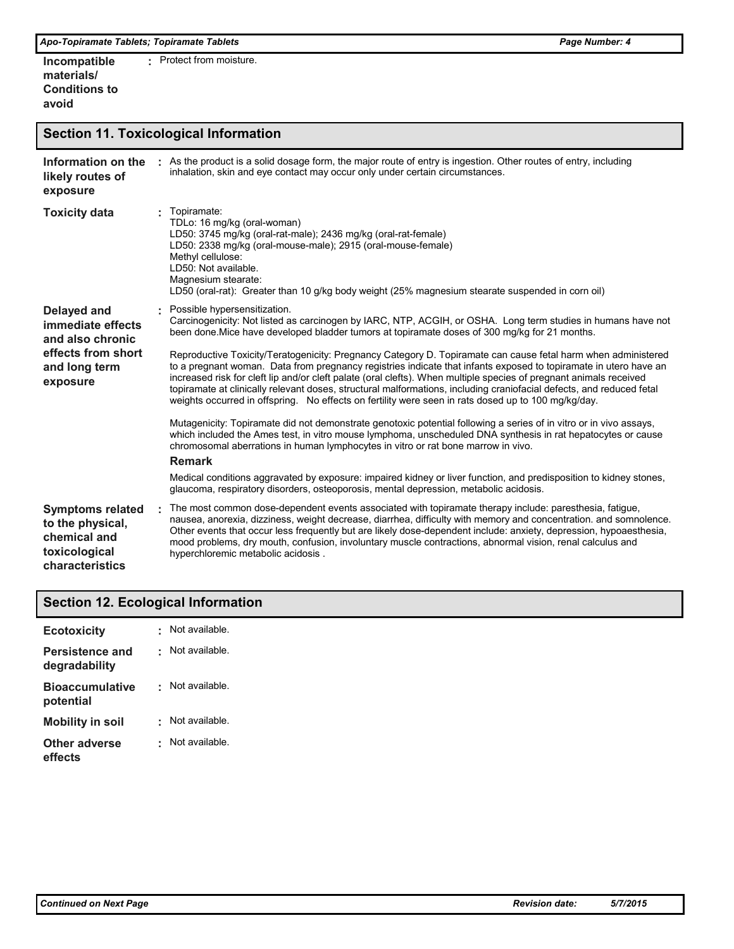| Incompatible         | Protect from moisture. |
|----------------------|------------------------|
| materials/           |                        |
| <b>Conditions to</b> |                        |
| avoid                |                        |

### **Section 11. Toxicological Information**

| Information on the<br>likely routes of<br>exposure                                                             | As the product is a solid dosage form, the major route of entry is ingestion. Other routes of entry, including<br>inhalation, skin and eye contact may occur only under certain circumstances.                                                                                                                                                                                                                                                                                                                                                                                                                                                                                                                                                                                                                                                                                                                                                                                                                                                                                |
|----------------------------------------------------------------------------------------------------------------|-------------------------------------------------------------------------------------------------------------------------------------------------------------------------------------------------------------------------------------------------------------------------------------------------------------------------------------------------------------------------------------------------------------------------------------------------------------------------------------------------------------------------------------------------------------------------------------------------------------------------------------------------------------------------------------------------------------------------------------------------------------------------------------------------------------------------------------------------------------------------------------------------------------------------------------------------------------------------------------------------------------------------------------------------------------------------------|
| <b>Toxicity data</b>                                                                                           | Topiramate:<br>TDLo: 16 mg/kg (oral-woman)<br>LD50: 3745 mg/kg (oral-rat-male); 2436 mg/kg (oral-rat-female)<br>LD50: 2338 mg/kg (oral-mouse-male); 2915 (oral-mouse-female)<br>Methyl cellulose:<br>LD50: Not available.<br>Magnesium stearate:<br>LD50 (oral-rat): Greater than 10 g/kg body weight (25% magnesium stearate suspended in corn oil)                                                                                                                                                                                                                                                                                                                                                                                                                                                                                                                                                                                                                                                                                                                          |
| <b>Delayed and</b><br>immediate effects<br>and also chronic<br>effects from short<br>and long term<br>exposure | Possible hypersensitization.<br>Carcinogenicity: Not listed as carcinogen by IARC, NTP, ACGIH, or OSHA. Long term studies in humans have not<br>been done. Mice have developed bladder tumors at topiramate doses of 300 mg/kg for 21 months.<br>Reproductive Toxicity/Teratogenicity: Pregnancy Category D. Topiramate can cause fetal harm when administered<br>to a pregnant woman. Data from pregnancy registries indicate that infants exposed to topiramate in utero have an<br>increased risk for cleft lip and/or cleft palate (oral clefts). When multiple species of pregnant animals received<br>topiramate at clinically relevant doses, structural malformations, including craniofacial defects, and reduced fetal<br>weights occurred in offspring. No effects on fertility were seen in rats dosed up to 100 mg/kg/day.<br>Mutagenicity: Topiramate did not demonstrate genotoxic potential following a series of in vitro or in vivo assays,<br>which included the Ames test, in vitro mouse lymphoma, unscheduled DNA synthesis in rat hepatocytes or cause |
|                                                                                                                | chromosomal aberrations in human lymphocytes in vitro or rat bone marrow in vivo.<br><b>Remark</b><br>Medical conditions aggravated by exposure: impaired kidney or liver function, and predisposition to kidney stones,<br>glaucoma, respiratory disorders, osteoporosis, mental depression, metabolic acidosis.                                                                                                                                                                                                                                                                                                                                                                                                                                                                                                                                                                                                                                                                                                                                                             |
| <b>Symptoms related</b><br>to the physical,<br>chemical and<br>toxicological<br>characteristics                | . The most common dose-dependent events associated with topiramate therapy include: paresthesia, fatigue,<br>nausea, anorexia, dizziness, weight decrease, diarrhea, difficulty with memory and concentration, and somnolence,<br>Other events that occur less frequently but are likely dose-dependent include: anxiety, depression, hypoaesthesia,<br>mood problems, dry mouth, confusion, involuntary muscle contractions, abnormal vision, renal calculus and<br>hyperchloremic metabolic acidosis.                                                                                                                                                                                                                                                                                                                                                                                                                                                                                                                                                                       |

## **Section 12. Ecological Information**

| <b>Ecotoxicity</b>                  |   | Not available. |
|-------------------------------------|---|----------------|
| Persistence and<br>degradability    | ٠ | Not available. |
| <b>Bioaccumulative</b><br>potential |   | Not available. |
| <b>Mobility in soil</b>             |   | Not available. |
| Other adverse<br>effects            |   | Not available. |